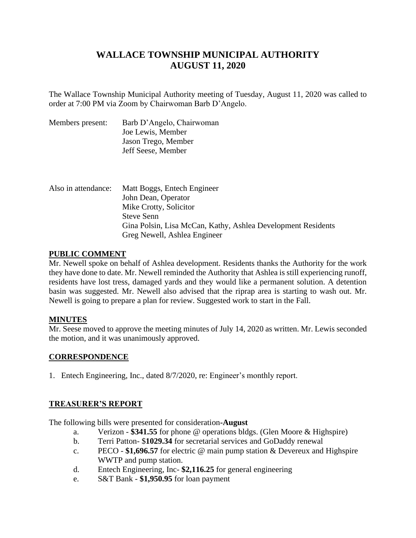# **WALLACE TOWNSHIP MUNICIPAL AUTHORITY AUGUST 11, 2020**

The Wallace Township Municipal Authority meeting of Tuesday, August 11, 2020 was called to order at 7:00 PM via Zoom by Chairwoman Barb D'Angelo.

| Members present: | Barb D'Angelo, Chairwoman |
|------------------|---------------------------|
|                  | Joe Lewis, Member         |
|                  | Jason Trego, Member       |
|                  | Jeff Seese, Member        |
|                  |                           |

| Also in attendance: | Matt Boggs, Entech Engineer                                  |
|---------------------|--------------------------------------------------------------|
|                     | John Dean, Operator                                          |
|                     | Mike Crotty, Solicitor                                       |
|                     | <b>Steve Senn</b>                                            |
|                     | Gina Polsin, Lisa McCan, Kathy, Ashlea Development Residents |
|                     | Greg Newell, Ashlea Engineer                                 |

## **PUBLIC COMMENT**

Mr. Newell spoke on behalf of Ashlea development. Residents thanks the Authority for the work they have done to date. Mr. Newell reminded the Authority that Ashlea is still experiencing runoff, residents have lost tress, damaged yards and they would like a permanent solution. A detention basin was suggested. Mr. Newell also advised that the riprap area is starting to wash out. Mr. Newell is going to prepare a plan for review. Suggested work to start in the Fall.

## **MINUTES**

Mr. Seese moved to approve the meeting minutes of July 14, 2020 as written. Mr. Lewis seconded the motion, and it was unanimously approved.

## **CORRESPONDENCE**

1. Entech Engineering, Inc., dated 8/7/2020, re: Engineer's monthly report.

## **TREASURER'S REPORT**

The following bills were presented for consideration**-August**

- a. Verizon **\$341.55** for phone @ operations bldgs. (Glen Moore & Highspire)
- b. Terri Patton- \$**1029.34** for secretarial services and GoDaddy renewal
- c. PECO **\$1,696.57** for electric @ main pump station & Devereux and Highspire WWTP and pump station.
- d. Entech Engineering, Inc- **\$2,116.25** for general engineering
- e. S&T Bank **\$1,950.95** for loan payment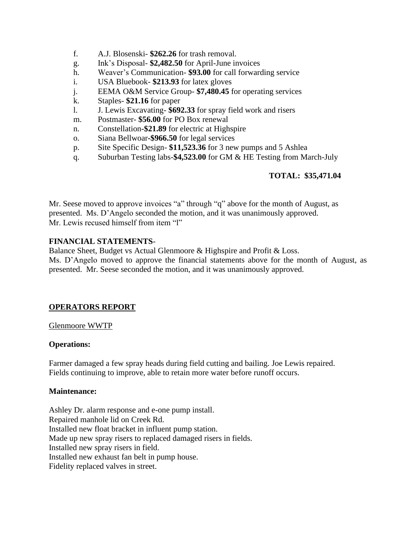- f. A.J. Blosenski- **\$262.26** for trash removal.
- g. Ink's Disposal- **\$2,482.50** for April-June invoices
- h. Weaver's Communication- **\$93.00** for call forwarding service
- i. USA Bluebook- **\$213.93** for latex gloves
- j. EEMA O&M Service Group- **\$7,480.45** for operating services
- k. Staples- **\$21.16** for paper
- l. J. Lewis Excavating- **\$692.33** for spray field work and risers
- m. Postmaster- **\$56.00** for PO Box renewal
- n. Constellation**-\$21.89** for electric at Highspire
- o. Siana Bellwoar**-\$966.50** for legal services
- p. Site Specific Design- **\$11,523.36** for 3 new pumps and 5 Ashlea
- q. Suburban Testing labs-**\$4,523.00** for GM & HE Testing from March-July

## **TOTAL: \$35,471.04**

Mr. Seese moved to approve invoices "a" through "q" above for the month of August, as presented. Ms. D'Angelo seconded the motion, and it was unanimously approved. Mr. Lewis recused himself from item "l"

## **FINANCIAL STATEMENTS**-

Balance Sheet, Budget vs Actual Glenmoore & Highspire and Profit & Loss.

Ms. D'Angelo moved to approve the financial statements above for the month of August, as presented. Mr. Seese seconded the motion, and it was unanimously approved.

## **OPERATORS REPORT**

## Glenmoore WWTP

## **Operations:**

Farmer damaged a few spray heads during field cutting and bailing. Joe Lewis repaired. Fields continuing to improve, able to retain more water before runoff occurs.

## **Maintenance:**

Ashley Dr. alarm response and e-one pump install. Repaired manhole lid on Creek Rd. Installed new float bracket in influent pump station. Made up new spray risers to replaced damaged risers in fields. Installed new spray risers in field. Installed new exhaust fan belt in pump house. Fidelity replaced valves in street.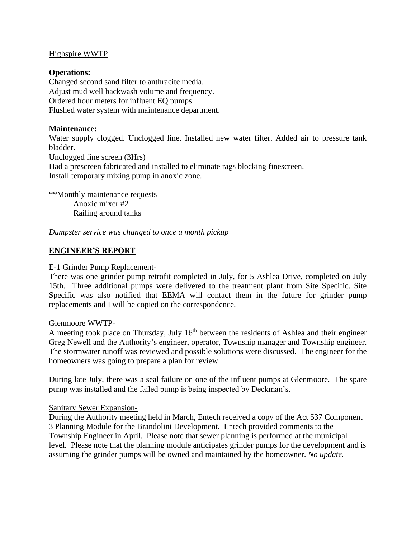## Highspire WWTP

## **Operations:**

Changed second sand filter to anthracite media. Adjust mud well backwash volume and frequency. Ordered hour meters for influent EQ pumps. Flushed water system with maintenance department.

## **Maintenance:**

Water supply clogged. Unclogged line. Installed new water filter. Added air to pressure tank bladder.

Unclogged fine screen (3Hrs) Had a prescreen fabricated and installed to eliminate rags blocking finescreen. Install temporary mixing pump in anoxic zone.

\*\*Monthly maintenance requests Anoxic mixer #2 Railing around tanks

*Dumpster service was changed to once a month pickup* 

## **ENGINEER'S REPORT**

#### E-1 Grinder Pump Replacement-

There was one grinder pump retrofit completed in July, for 5 Ashlea Drive, completed on July 15th. Three additional pumps were delivered to the treatment plant from Site Specific. Site Specific was also notified that EEMA will contact them in the future for grinder pump replacements and I will be copied on the correspondence.

#### Glenmoore WWTP-

A meeting took place on Thursday, July 16<sup>th</sup> between the residents of Ashlea and their engineer Greg Newell and the Authority's engineer, operator, Township manager and Township engineer. The stormwater runoff was reviewed and possible solutions were discussed. The engineer for the homeowners was going to prepare a plan for review.

During late July, there was a seal failure on one of the influent pumps at Glenmoore. The spare pump was installed and the failed pump is being inspected by Deckman's.

## Sanitary Sewer Expansion-

During the Authority meeting held in March, Entech received a copy of the Act 537 Component 3 Planning Module for the Brandolini Development. Entech provided comments to the Township Engineer in April. Please note that sewer planning is performed at the municipal level. Please note that the planning module anticipates grinder pumps for the development and is assuming the grinder pumps will be owned and maintained by the homeowner. *No update.*